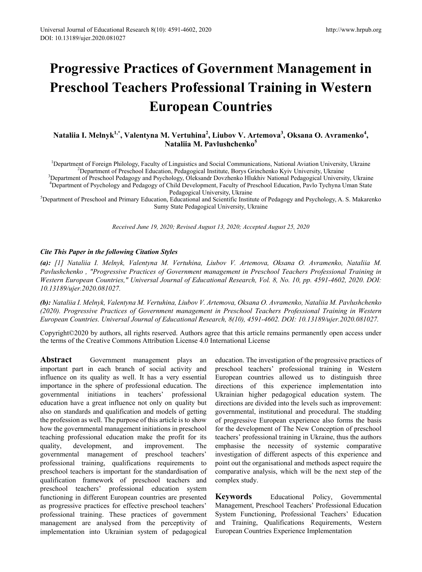# **Progressive Practices of Government Management in Preschool Teachers Professional Training in Western European Countries**

# **Nataliia I. Melnyk1,\* , Valentyna M. Vertuhina<sup>2</sup> , Liubov V. Artemova<sup>3</sup> , Oksana O. Avramenko<sup>4</sup> , Nataliia M. Pavlushchenko<sup>5</sup>**

<sup>1</sup>Department of Foreign Philology, Faculty of Linguistics and Social Communications, National Aviation University, Ukraine <sup>2</sup><br><sup>2</sup>Department of Preschool Education, Pedagogical Institute, Borys Grinchenko Kyiy University,

Department of Preschool Education, Pedagogical Institute, Borys Grinchenko Kyiv University, Ukraine <sup>3</sup> Department of Preschool Pedagogy and Psychology, Oleksandr Dovzhenko Hlukhiv National Pedagogical University, Ukraine 4 Department of Psychology and Pedagogy of Child Development, Faculty of Preschool Education, Pavlо Tychyna Uman State

Pedagogical University, Ukraine<br><sup>5</sup>Department of Preschool and Primary Education, Educational and Scientific Institute of Pedagogy and Psychology, A. S. Makarenko Sumy State Pedagogical University, Ukraine

*Received June 19, 2020; Revised August 13, 2020; Accepted August 25, 2020*

### *Cite This Paper in the following Citation Styles*

*(a): [1] Nataliia I. Melnyk, Valentyna M. Vertuhina, Liubov V. Artemova, Oksana O. Avramenko, Nataliia M. Pavlushchenko , "Progressive Practices of Government management in Preschool Teachers Professional Training in Western European Countries," Universal Journal of Educational Research, Vol. 8, No. 10, pp. 4591-4602, 2020. DOI: 10.13189/ujer.2020.081027.* 

*(b): Nataliia I. Melnyk, Valentyna M. Vertuhina, Liubov V. Artemova, Oksana O. Avramenko, Nataliia M. Pavlushchenko (2020). Progressive Practices of Government management in Preschool Teachers Professional Training in Western European Countries. Universal Journal of Educational Research, 8(10), 4591-4602. DOI: 10.13189/ujer.2020.081027.* 

Copyright©2020 by authors, all rights reserved. Authors agree that this article remains permanently open access under the terms of the Creative Commons Attribution License 4.0 International License

Abstract Government management plays an important part in each branch of social activity and influence on its quality as well. It has a very essential importance in the sphere of professional education. The governmental initiations in teachers' professional education have a great influence not only on quality but also on standards and qualification and models of getting the profession as well. The purpose of this article is to show how the governmental management initiations in preschool teaching professional education make the profit for its quality, development, and improvement. The governmental management of preschool teachers' professional training, qualifications requirements to preschool teachers is important for the standardisation of qualification framework of preschool teachers and preschool teachers' professional education system functioning in different European countries are presented as progressive practices for effective preschool teachers' professional training. These practices of government management are analysed from the perceptivity of implementation into Ukrainian system of pedagogical

education. The investigation of the progressive practices of preschool teachers' professional training in Western European countries allowed us to distinguish three directions of this experience implementation into Ukrainian higher pedagogical education system. The directions are divided into the levels such as improvement: governmental, institutional and procedural. The studding of progressive European experience also forms the basis for the development of The New Conception of preschool teachers' professional training in Ukraine, thus the authors emphasise the necessity of systemic comparative investigation of different aspects of this experience and point out the organisational and methods aspect require the comparative analysis, which will be the next step of the complex study.

**Keywords** Educational Policy, Governmental Management, Preschool Teachers' Professional Education System Functioning, Professional Teachers' Education and Training, Qualifications Requirements, Western European Countries Experience Implementation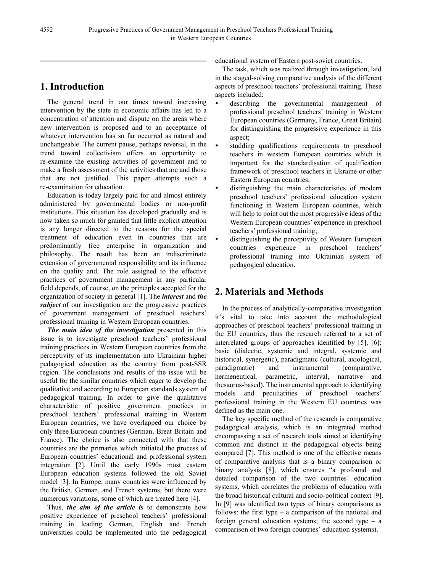# **1. Introduction**

The general trend in our times toward increasing intervention by the state in economic affairs has led to a concentration of attention and dispute on the areas where new intervention is proposed and to an acceptance of whatever intervention has so far occurred as natural and unchangeable. The current pause, perhaps reversal, in the trend toward collectivism offers an opportunity to re-examine the existing activities of government and to make a fresh assessment of the activities that are and those that are not justified. This paper attempts such a re-examination for education.

Education is today largely paid for and almost entirely administered by governmental bodies or non-profit institutions. This situation has developed gradually and is now taken so much for granted that little explicit attention is any longer directed to the reasons for the special treatment of education even in countries that are predominantly free enterprise in organization and philosophy. The result has been an indiscriminate extension of governmental responsibility and its influence on the quality and. The role assigned to the effective practices of government management in any particular field depends, of course, on the principles accepted for the organization of society in general [1]. The *interest* and *the subject* of our investigation are the progressive practices of government management of preschool teachers' professional training in Western European countries.

*The main idea of the investigation* presented in this issue is to investigate preschool teachers' professional training practices in Western European countries from the perceptivity of its implementation into Ukrainian higher pedagogical education as the country from post-SSR region. The conclusions and results of the issue will be useful for the similar countries which eager to develop the qualitative and according to European standards system of pedagogical training. In order to give the qualitative characteristic of positive government practices in preschool teachers' professional training in Western European countries, we have overlapped our choice by only three European countries (German, Breat Britain and France). The choice is also connected with that these countries are the primaries which initiated the process of European countries' educational and professional system integration [2]. Until the early 1990s most eastern European education systems followed the old Soviet model [3]. In Europe, many countries were influenced by the British, German, and French systems, but there were numerous variations, some of which are treated here [4].

Thus, *the aim of the article is* to demonstrate how positive experience of preschool teachers' professional training in leading German, English and French universities could be implemented into the pedagogical educational system of Eastern post-soviet countries.

The task, which was realized through investigation, laid in the staged-solving comparative analysis of the different aspects of preschool teachers' professional training. These aspects included:

- describing the governmental management of professional preschool teachers' training in Western European countries (Germany, France, Great Britain) for distinguishing the progressive experience in this aspect;
- studding qualifications requirements to preschool teachers in western European countries which is important for the standardisation of qualification framework of preschool teachers in Ukraine or other Eastern European countries;
- distinguishing the main characteristics of modern preschool teachers' professional education system functioning in Western European countries, which will help to point out the most progressive ideas of the Western European countries' experience in preschool teachers' professional training;
- distinguishing the perceptivity of Western European countries experience in preschool teachers' professional training into Ukrainian system of pedagogical education.

# **2. Materials and Methods**

In the process of analytically-comparative investigation it's vital to take into account the methodological approaches of preschool teachers' professional training in the EU countries, thus the research referred to a set of interrelated groups of approaches identified by [5], [6]: basic (dialectic, systemic and integral, systemic and historical, synergetic), paradigmatic (cultural, axiological, paradigmatic) and instrumental (comparative, hermeneutical, parametric, interval, narrative and thesaurus-based). The instrumental approach to identifying models and peculiarities of preschool teachers' professional training in the Western EU countries was defined as the main one.

The key specific method of the research is comparative pedagogical analysis, which is an integrated method encompassing a set of research tools aimed at identifying common and distinct in the pedagogical objects being compared [7]. This method is one of the effective means of comparative analysis that is a binary comparison or binary analysis [8], which ensures "a profound and detailed comparison of the two countries' education systems, which correlates the problems of education with the broad historical cultural and socio-political context [9]. In [9] was identified two types of binary comparisons as follows: the first type – a comparison of the national and foreign general education systems; the second type – a comparison of two foreign countries' education systems).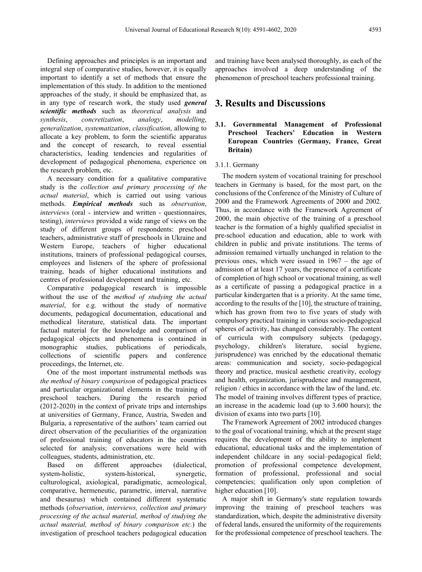Defining approaches and principles is an important and integral step of comparative studies, however, it is equally important to identify a set of methods that ensure the implementation of this study. In addition to the mentioned approaches of the study, it should be emphasized that, as in any type of research work, the study used *general scientific methods* such as *theoretical analysis* and *synthesis*, *concretization*, *analogy*, *modelling*, *generalization*, *systematization*, *classification*, allowing to allocate a key problem, to form the scientific apparatus and the concept of research, to reveal essential characteristics, leading tendencies and regularities of development of pedagogical phenomena, experience on the research problem, etc.

A necessary condition for a qualitative comparative study is the *collection and primary processing of the actual material*, which is carried out using various methods. *Empirical methods* such as *observation*, *interviews* (oral - interview and written - questionnaires, testing), *interviews* provided a wide range of views on the study of different groups of respondents: preschool teachers, administrative staff of preschools in Ukraine and Western Europe, teachers of higher educational institutions, trainers of professional pedagogical courses, employees and listeners of the sphere of professional training, heads of higher educational institutions and centres of professional development and training, etc.

Comparative pedagogical research is impossible without the use of the *method of studying the actual material*, for e.g. without the study of normative documents, pedagogical documentation, educational and methodical literature, statistical data. The important factual material for the knowledge and comparison of pedagogical objects and phenomena is contained in monographic studies, publications of periodicals, collections of scientific papers and conference proceedings, the Internet, etc.

One of the most important instrumental methods was *the method of binary comparison* of pedagogical practices and particular organizational elements in the training of preschool teachers. During the research period (2012-2020) in the context of private trips and internships at universities of Germany, France, Austria, Sweden and Bulgaria, a representative of the authors' team carried out direct observation of the peculiarities of the organization of professional training of educators in the countries selected for analysis; conversations were held with colleagues, students, administration, etc.

Based on different approaches (dialectical, system-holistic, system-historical, synergetic, culturological, axiological, paradigmatic, acmeological, comparative, hermeneutic, parametric, interval, narrative and thesaurus) which contained different systematic methods (*observation*, *interviews, collection and primary processing of the actual material, method of studying the actual material, method of binary comparison etc.*) the investigation of preschool teachers pedagogical education

and training have been analysed thoroughly, as each of the approaches involved a deep understanding of the phenomenon of preschool teachers professional training.

# **3. Results and Discussions**

# **3.1. Governmental Management of Professional Preschool Teachers' Education in Western European Countries (Germany, France, Great Britain)**

#### 3.1.1. Germany

The modern system of vocational training for preschool teachers in Germany is based, for the most part, on the conclusions of the Conference of the Ministry of Culture of 2000 and the Framework Agreements of 2000 and 2002. Thus, in accordance with the Framework Agreement of 2000, the main objective of the training of a preschool teacher is the formation of a highly qualified specialist in pre-school education and education, able to work with children in public and private institutions. The terms of admission remained virtually unchanged in relation to the previous ones, which were issued in 1967 – the age of admission of at least 17 years, the presence of a certificate of completion of high school or vocational training, as well as a certificate of passing a pedagogical practice in a particular kindergarten that is a priority. At the same time, according to the results of the [10], the structure of training, which has grown from two to five years of study with compulsory practical training in various socio-pedagogical spheres of activity, has changed considerably. The content of curricula with compulsory subjects (pedagogy, psychology, children's literature, social hygiene, jurisprudence) was enriched by the educational thematic areas: communication and society, socio-pedagogical theory and practice, musical aesthetic creativity, ecology and health, organization, jurisprudence and management, religion / ethics in accordance with the law of the land, etc. The model of training involves different types of practice, an increase in the academic load (up to 3.600 hours); the division of exams into two parts [10].

The Framework Agreement of 2002 introduced changes to the goal of vocational training, which at the present stage requires the development of the ability to implement educational, educational tasks and the implementation of independent childcare in any social–pedagogical field; promotion of professional competence development, formation of professional, professional and social competencies; qualification only upon completion of higher education [10].

A major shift in Germany's state regulation towards improving the training of preschool teachers was standardization, which, despite the administrative diversity of federal lands, ensured the uniformity of the requirements for the professional competence of preschool teachers. The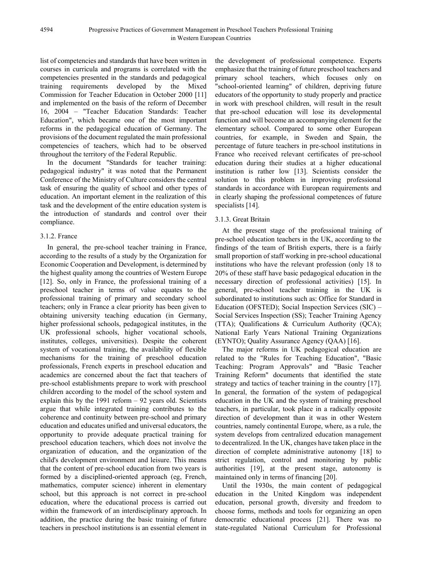list of competencies and standards that have been written in courses in curricula and programs is correlated with the competencies presented in the standards and pedagogical training requirements developed by the Mixed Commission for Teacher Education in October 2000 [11] and implemented on the basis of the reform of December 16, 2004 – "Teacher Education Standards: Teacher Education", which became one of the most important reforms in the pedagogical education of Germany. The provisions of the document regulated the main professional competencies of teachers, which had to be observed throughout the territory of the Federal Republic.

In the document "Standards for teacher training: pedagogical industry" it was noted that the Permanent Conference of the Ministry of Culture considers the central task of ensuring the quality of school and other types of education. An important element in the realization of this task and the development of the entire education system is the introduction of standards and control over their compliance.

### 3.1.2. France

In general, the pre-school teacher training in France, according to the results of a study by the Organization for Economic Cooperation and Development, is determined by the highest quality among the countries of Western Europe [12]. So, only in France, the professional training of a preschool teacher in terms of value equates to the professional training of primary and secondary school teachers; only in France a clear priority has been given to obtaining university teaching education (in Germany, higher professional schools, pedagogical institutes, in the UK professional schools, higher vocational schools, institutes, colleges, universities). Despite the coherent system of vocational training, the availability of flexible mechanisms for the training of preschool education professionals, French experts in preschool education and academics are concerned about the fact that teachers of pre-school establishments prepare to work with preschool children according to the model of the school system and explain this by the  $1991$  reform  $-92$  years old. Scientists argue that while integrated training contributes to the coherence and continuity between pre-school and primary education and educates unified and universal educators, the opportunity to provide adequate practical training for preschool education teachers, which does not involve the organization of education, and the organization of the child's development environment and leisure. This means that the content of pre-school education from two years is formed by a disciplined-oriented approach (eg, French, mathematics, computer science) inherent in elementary school, but this approach is not correct in pre-school education, where the educational process is carried out within the framework of an interdisciplinary approach. In addition, the practice during the basic training of future teachers in preschool institutions is an essential element in

the development of professional competence. Experts emphasize that the training of future preschool teachers and primary school teachers, which focuses only on "school-oriented learning" of children, depriving future educators of the opportunity to study properly and practice in work with preschool children, will result in the result that pre-school education will lose its developmental function and will become an accompanying element for the elementary school. Compared to some other European countries, for example, in Sweden and Spain, the percentage of future teachers in pre-school institutions in France who received relevant certificates of pre-school education during their studies at a higher educational institution is rather low [13]. Scientists consider the solution to this problem in improving professional standards in accordance with European requirements and in clearly shaping the professional competences of future specialists [14].

# 3.1.3. Great Britain

At the present stage of the professional training of pre-school education teachers in the UK, according to the findings of the team of British experts, there is a fairly small proportion of staff working in pre-school educational institutions who have the relevant profession (only 18 to 20% of these staff have basic pedagogical education in the necessary direction of professional activities) [15]. In general, pre-school teacher training in the UK is subordinated to institutions such as: Office for Standard in Education (OFSTED); Social Inspection Services (SIC) – Social Services Inspection (SS); Teacher Training Agency (TTA); Qualifications & Curriculum Authority (QCA); National Early Years National Training Organizations (EYNTO); Quality Assurance Agency (QAA) [16].

The major reforms in UK pedagogical education are related to the "Rules for Teaching Education", "Basic Teaching: Program Approvals" and "Basic Teacher Training Reform" documents that identified the state strategy and tactics of teacher training in the country [17]. In general, the formation of the system of pedagogical education in the UK and the system of training preschool teachers, in particular, took place in a radically opposite direction of development than it was in other Western countries, namely continental Europe, where, as a rule, the system develops from centralized education management to decentralized. In the UK, changes have taken place in the direction of complete administrative autonomy [18] to strict regulation, control and monitoring by public authorities [19], at the present stage, autonomy is maintained only in terms of financing [20].

Until the 1930s, the main content of pedagogical education in the United Kingdom was independent education, personal growth, diversity and freedom to choose forms, methods and tools for organizing an open democratic educational process [21]. There was no state-regulated National Curriculum for Professional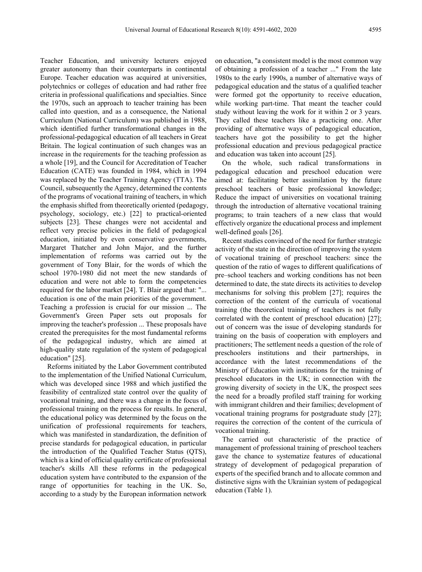Teacher Education, and university lecturers enjoyed greater autonomy than their counterparts in continental Europe. Teacher education was acquired at universities, polytechnics or colleges of education and had rather free criteria in professional qualifications and specialties. Since the 1970s, such an approach to teacher training has been called into question, and as a consequence, the National Curriculum (National Curriculum) was published in 1988, which identified further transformational changes in the professional-pedagogical education of all teachers in Great Britain. The logical continuation of such changes was an increase in the requirements for the teaching profession as a whole [19], and the Council for Accreditation of Teacher Education (CATE) was founded in 1984, which in 1994 was replaced by the Teacher Training Agency (TTA). The Council, subsequently the Agency, determined the contents of the programs of vocational training of teachers, in which the emphasis shifted from theoretically oriented (pedagogy, psychology, sociology, etc.) [22] to practical-oriented subjects [23]. These changes were not accidental and reflect very precise policies in the field of pedagogical education, initiated by even conservative governments, Margaret Thatcher and John Major, and the further implementation of reforms was carried out by the government of Tony Blair, for the words of which the school 1970-1980 did not meet the new standards of education and were not able to form the competencies required for the labor market [24]. T. Blair argued that: "... education is one of the main priorities of the government. Teaching a profession is crucial for our mission ... The Government's Green Paper sets out proposals for improving the teacher's profession ... These proposals have created the prerequisites for the most fundamental reforms of the pedagogical industry, which are aimed at high-quality state regulation of the system of pedagogical education" [25].

Reforms initiated by the Labor Government contributed to the implementation of the Unified National Curriculum, which was developed since 1988 and which justified the feasibility of centralized state control over the quality of vocational training, and there was a change in the focus of professional training on the process for results. In general, the educational policy was determined by the focus on the unification of professional requirements for teachers, which was manifested in standardization, the definition of precise standards for pedagogical education, in particular the introduction of the Qualified Teacher Status (QTS), which is a kind of official quality certificate of professional teacher's skills All these reforms in the pedagogical education system have contributed to the expansion of the range of opportunities for teaching in the UK. So, according to a study by the European information network

on education, "a consistent model is the most common way of obtaining a profession of a teacher ..." From the late 1980s to the early 1990s, a number of alternative ways of pedagogical education and the status of a qualified teacher were formed got the opportunity to receive education, while working part-time. That meant the teacher could study without leaving the work for it within 2 or 3 years. They called these teachers like a practicing one. After providing of alternative ways of pedagogical education, teachers have got the possibility to get the higher professional education and previous pedagogical practice and education was taken into account [25].

On the whole, such radical transformations in pedagogical education and preschool education were aimed at: facilitating better assimilation by the future preschool teachers of basic professional knowledge; Reduce the impact of universities on vocational training through the introduction of alternative vocational training programs; to train teachers of a new class that would effectively organize the educational process and implement well-defined goals [26].

Recent studies convinced of the need for further strategic activity of the state in the direction of improving the system of vocational training of preschool teachers: since the question of the ratio of wages to different qualifications of pre–school teachers and working conditions has not been determined to date, the state directs its activities to develop mechanisms for solving this problem [27]; requires the correction of the content of the curricula of vocational training (the theoretical training of teachers is not fully correlated with the content of preschool education) [27]; out of concern was the issue of developing standards for training on the basis of cooperation with employers and practitioners; The settlement needs a question of the role of preschoolers institutions and their partnerships, in accordance with the latest recommendations of the Ministry of Education with institutions for the training of preschool educators in the UK; in connection with the growing diversity of society in the UK, the prospect sees the need for a broadly profiled staff training for working with immigrant children and their families; development of vocational training programs for postgraduate study [27]; requires the correction of the content of the curricula of vocational training.

The carried out characteristic of the practice of management of professional training of preschool teachers gave the chance to systematize features of educational strategy of development of pedagogical preparation of experts of the specified branch and to allocate common and distinctive signs with the Ukrainian system of pedagogical education (Table 1).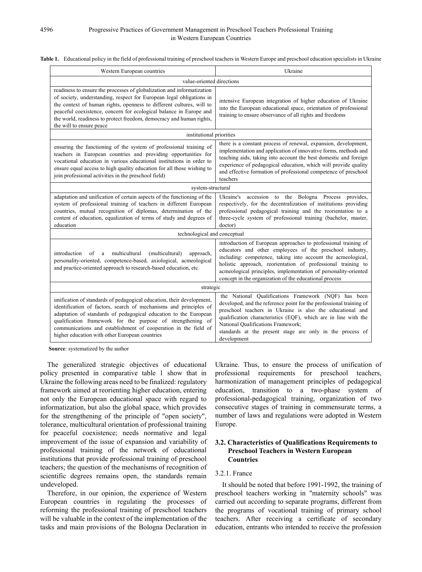| Western European countries                                                                                                                                                                                                                                                                                                                                                                         | Ukraine                                                                                                                                                                                                                                                                                                                                                                                  |  |  |  |  |  |
|----------------------------------------------------------------------------------------------------------------------------------------------------------------------------------------------------------------------------------------------------------------------------------------------------------------------------------------------------------------------------------------------------|------------------------------------------------------------------------------------------------------------------------------------------------------------------------------------------------------------------------------------------------------------------------------------------------------------------------------------------------------------------------------------------|--|--|--|--|--|
| value-oriented directions                                                                                                                                                                                                                                                                                                                                                                          |                                                                                                                                                                                                                                                                                                                                                                                          |  |  |  |  |  |
| readiness to ensure the processes of globalization and informatization<br>of society, understanding, respect for European legal obligations in<br>the context of human rights, openness to different cultures, will to<br>peaceful coexistence, concern for ecological balance in Europe and<br>the world, readiness to protect freedom, democracy and human rights,<br>the will to ensure peace   | intensive European integration of higher education of Ukraine<br>into the European educational space, orientation of professional<br>training to ensure observance of all rights and freedoms                                                                                                                                                                                            |  |  |  |  |  |
| institutional priorities                                                                                                                                                                                                                                                                                                                                                                           |                                                                                                                                                                                                                                                                                                                                                                                          |  |  |  |  |  |
| ensuring the functioning of the system of professional training of<br>teachers in European countries and providing opportunities for<br>vocational education in various educational institutions in order to<br>ensure equal access to high quality education for all those wishing to<br>join professional activities in the preschool field)                                                     | there is a constant process of renewal, expansion, development,<br>implementation and application of innovative forms, methods and<br>teaching aids, taking into account the best domestic and foreign<br>experience of pedagogical education, which will provide quality<br>and effective formation of professional competence of preschool<br>teachers                                 |  |  |  |  |  |
| system-structural                                                                                                                                                                                                                                                                                                                                                                                  |                                                                                                                                                                                                                                                                                                                                                                                          |  |  |  |  |  |
| adaptation and unification of certain aspects of the functioning of the<br>system of professional training of teachers in different European<br>countries, mutual recognition of diplomas, determination of the<br>content of education, equalization of terms of study and degrees of<br>education                                                                                                | Ukraine's accession to the Bologna Process<br>provides.<br>respectively, for the decentralization of institutions providing<br>professional pedagogical training and the reorientation to a<br>three-cycle system of professional training (bachelor, master,<br>doctor)                                                                                                                 |  |  |  |  |  |
| technological and conceptual                                                                                                                                                                                                                                                                                                                                                                       |                                                                                                                                                                                                                                                                                                                                                                                          |  |  |  |  |  |
| introduction<br>multicultural<br>(multicultural)<br>approach,<br>of<br>a<br>personality-oriented, competence-based, axiological, acmeological<br>and practice-oriented approach to research-based education, etc.                                                                                                                                                                                  | introduction of European approaches to professional training of<br>educators and other employees of the preschool industry,<br>including: competence, taking into account the acmeological,<br>holistic approach, reorientation of professional training to<br>acmeological principles, implementation of personality-oriented<br>concept in the organization of the educational process |  |  |  |  |  |
| strategic                                                                                                                                                                                                                                                                                                                                                                                          |                                                                                                                                                                                                                                                                                                                                                                                          |  |  |  |  |  |
| unification of standards of pedagogical education, their development,<br>identification of factors, search of mechanisms and principles of<br>adaptation of standards of pedagogical education to the European<br>qualification framework for the purpose of strengthening of<br>communications and establishment of cooperation in the field of<br>higher education with other European countries | the National Qualifications Framework (NQF) has been<br>developed, and the reference point for the professional training of<br>preschool teachers in Ukraine is also the educational and<br>qualification characteristics (EQF), which are in line with the<br>National Qualifications Framework;<br>standards at the present stage are only in the process of<br>development            |  |  |  |  |  |

#### **Table 1.** Educational policy in the field of professional training of preschool teachers in Western Europe and preschool education specialists in Ukraine

**Source**: systematized by the author

The generalized strategic objectives of educational policy presented in comparative table 1 show that in Ukraine the following areas need to be finalized: regulatory framework aimed at reorienting higher education, entering not only the European educational space with regard to informatization, but also the global space, which provides for the strengthening of the principle of "open society", tolerance, multicultural orientation of professional training for peaceful coexistence; needs normative and legal improvement of the issue of expansion and variability of professional training of the network of educational institutions that provide professional training of preschool teachers; the question of the mechanisms of recognition of scientific degrees remains open, the standards remain undeveloped.

Therefore, in our opinion, the experience of Western European countries in regulating the processes of reforming the professional training of preschool teachers will be valuable in the context of the implementation of the tasks and main provisions of the Bologna Declaration in

Ukraine. Thus, to ensure the process of unification of professional requirements for preschool teachers, harmonization of management principles of pedagogical education, transition to a two-phase system of professional-pedagogical training, organization of two consecutive stages of training in commensurate terms, a number of laws and regulations were adopted in Western Europe.

# **3.2. Characteristics of Qualifications Requirements to Preschool Teachers in Western European Countries**

# 3.2.1. France

It should be noted that before 1991-1992, the training of preschool teachers working in "maternity schools" was carried out according to separate programs, different from the programs of vocational training of primary school teachers. After receiving a certificate of secondary education, entrants who intended to receive the profession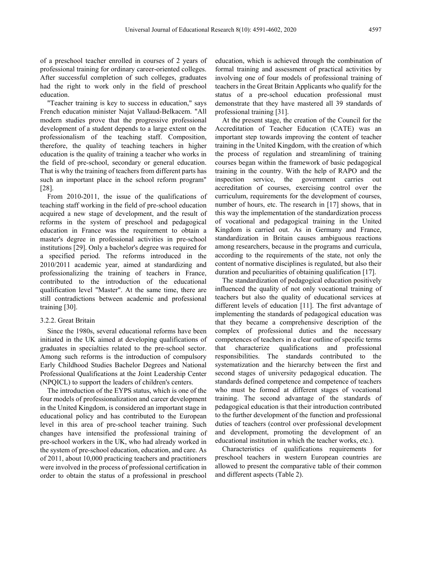of a preschool teacher enrolled in courses of 2 years of professional training for ordinary career-oriented colleges. After successful completion of such colleges, graduates had the right to work only in the field of preschool education.

"Teacher training is key to success in education," says French education minister Najat Vallaud-Belkacem. "All modern studies prove that the progressive professional development of a student depends to a large extent on the professionalism of the teaching staff. Composition, therefore, the quality of teaching teachers in higher education is the quality of training a teacher who works in the field of pre-school, secondary or general education. That is why the training of teachers from different parts has such an important place in the school reform program" [28].

From 2010-2011, the issue of the qualifications of teaching staff working in the field of pre-school education acquired a new stage of development, and the result of reforms in the system of preschool and pedagogical education in France was the requirement to obtain a master's degree in professional activities in pre-school institutions [29]. Only a bachelor's degree was required for a specified period. The reforms introduced in the 2010/2011 academic year, aimed at standardizing and professionalizing the training of teachers in France, contributed to the introduction of the educational qualification level "Master". At the same time, there are still contradictions between academic and professional training [30].

#### 3.2.2. Great Britain

Since the 1980s, several educational reforms have been initiated in the UK aimed at developing qualifications of graduates in specialties related to the pre-school sector. Among such reforms is the introduction of compulsory Early Childhood Studies Bachelor Degrees and National Professional Qualifications at the Joint Leadership Center (NPQICL) to support the leaders of children's centers.

The introduction of the EYPS status, which is one of the four models of professionalization and career development in the United Kingdom, is considered an important stage in educational policy and has contributed to the European level in this area of pre-school teacher training. Such changes have intensified the professional training of pre-school workers in the UK, who had already worked in the system of pre-school education, education, and care. As of 2011, about 10,000 practicing teachers and practitioners were involved in the process of professional certification in order to obtain the status of a professional in preschool

education, which is achieved through the combination of formal training and assessment of practical activities by involving one of four models of professional training of teachers in the Great Britain Applicants who qualify for the status of a pre-school education professional must demonstrate that they have mastered all 39 standards of professional training [31].

At the present stage, the creation of the Council for the Accreditation of Teacher Education (CATE) was an important step towards improving the content of teacher training in the United Kingdom, with the creation of which the process of regulation and streamlining of training courses began within the framework of basic pedagogical training in the country. With the help of RAPO and the inspection service, the government carries out accreditation of courses, exercising control over the curriculum, requirements for the development of courses, number of hours, etc. The research in [17] shows, that in this way the implementation of the standardization process of vocational and pedagogical training in the United Kingdom is carried out. As in Germany and France, standardization in Britain causes ambiguous reactions among researchers, because in the programs and curricula, according to the requirements of the state, not only the content of normative disciplines is regulated, but also their duration and peculiarities of obtaining qualification [17].

The standardization of pedagogical education positively influenced the quality of not only vocational training of teachers but also the quality of educational services at different levels of education [11]. The first advantage of implementing the standards of pedagogical education was that they became a comprehensive description of the complex of professional duties and the necessary competences of teachers in a clear outline of specific terms that characterize qualifications and professional responsibilities. The standards contributed to the systematization and the hierarchy between the first and second stages of university pedagogical education. The standards defined competence and competence of teachers who must be formed at different stages of vocational training. The second advantage of the standards of pedagogical education is that their introduction contributed to the further development of the function and professional duties of teachers (control over professional development and development, promoting the development of an educational institution in which the teacher works, etc.).

Characteristics of qualifications requirements for preschool teachers in western European countries are allowed to present the comparative table of their common and different aspects (Table 2).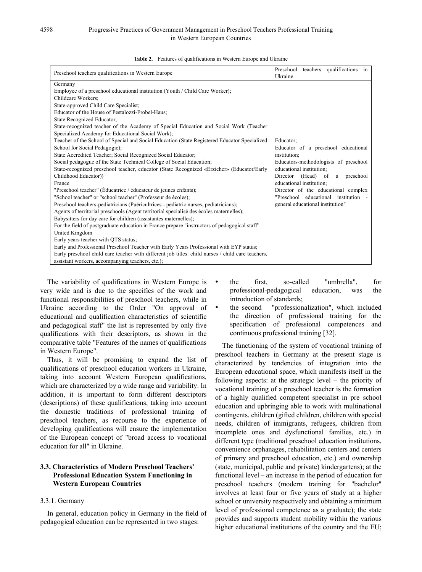| Preschool teachers qualifications in Western Europe                                                                                                                                                                                                                                                                                                                                                                                                                                                                                                                                                                                                                                                                                                                                                                                                                                                                                                                                                                                                                                                                                                                                                                                                                                                                                                                                                                                                                                                                                                                                                           | Preschool<br>teachers qualifications in<br>Ukraine                                                                                                                                                                                                                                                                           |
|---------------------------------------------------------------------------------------------------------------------------------------------------------------------------------------------------------------------------------------------------------------------------------------------------------------------------------------------------------------------------------------------------------------------------------------------------------------------------------------------------------------------------------------------------------------------------------------------------------------------------------------------------------------------------------------------------------------------------------------------------------------------------------------------------------------------------------------------------------------------------------------------------------------------------------------------------------------------------------------------------------------------------------------------------------------------------------------------------------------------------------------------------------------------------------------------------------------------------------------------------------------------------------------------------------------------------------------------------------------------------------------------------------------------------------------------------------------------------------------------------------------------------------------------------------------------------------------------------------------|------------------------------------------------------------------------------------------------------------------------------------------------------------------------------------------------------------------------------------------------------------------------------------------------------------------------------|
| Germany<br>Employee of a preschool educational institution (Youth / Child Care Worker);<br>Childcare Workers:<br>State-approved Child Care Specialist;<br>Educator of the House of Pestalozzi-Frobel-Haus;<br><b>State Recognized Educator:</b><br>State-recognized teacher of the Academy of Special Education and Social Work (Teacher<br>Specialized Academy for Educational Social Work);<br>Teacher of the School of Special and Social Education (State Registered Educator Specialized<br>School for Social Pedagogic);<br>State Accredited Teacher; Social Recognized Social Educator;<br>Social pedagogue of the State Technical College of Social Education;<br>State-recognized preschool teacher, educator (State Recognized «Erzieher» (Educator/Early<br>Childhood Educator))<br>France<br>"Preschool teacher" (Éducatrice / éducateur de jeunes enfants);<br>"School teacher" or "school teacher" (Professeur de écoles);<br>Preschool teachers-pediatricians (Puéricultrices - pediatric nurses, pediatricians);<br>Agents of territorial preschools (Agent territorial specialisé des écoles maternelles);<br>Babysitters for day care for children (assistantes maternelles);<br>For the field of postgraduate education in France prepare "instructors of pedagogical staff"<br>United Kingdom<br>Early years teacher with OTS status;<br>Early and Professional Preschool Teacher with Early Years Professional with EYP status;<br>Early preschool child care teacher with different job titles: child nurses / child care teachers,<br>assistant workers, accompanying teachers, etc.); | Educator:<br>Educator of a preschool educational<br>institution;<br>Educators-methodologists of preschool<br>educational institution:<br>Director (Head) of<br>preschool<br>a<br>educational institution:<br>Director of the educational complex<br>"Preschool educational institution -<br>general educational institution" |

|  |  | <b>Table 2.</b> Features of qualifications in Western Europe and Ukraine |  |  |  |  |
|--|--|--------------------------------------------------------------------------|--|--|--|--|
|--|--|--------------------------------------------------------------------------|--|--|--|--|

The variability of qualifications in Western Europe is very wide and is due to the specifics of the work and functional responsibilities of preschool teachers, while in Ukraine according to the Order "On approval of educational and qualification characteristics of scientific and pedagogical staff" the list is represented by only five qualifications with their descriptors, as shown in the comparative table "Features of the names of qualifications in Western Europe".

Thus, it will be promising to expand the list of qualifications of preschool education workers in Ukraine, taking into account Western European qualifications, which are characterized by a wide range and variability. In addition, it is important to form different descriptors (descriptions) of these qualifications, taking into account the domestic traditions of professional training of preschool teachers, as recourse to the experience of developing qualifications will ensure the implementation of the European concept of "broad access to vocational education for all" in Ukraine.

# **3.3. Characteristics of Modern Preschool Teachers' Professional Education System Functioning in Western European Countries**

#### 3.3.1. Germany

In general, education policy in Germany in the field of pedagogical education can be represented in two stages:

- the first, so-called "umbrella", for professional-pedagogical education, was the introduction of standards;
- the second "professionalization", which included the direction of professional training for the specification of professional competences and continuous professional training [32].

The functioning of the system of vocational training of preschool teachers in Germany at the present stage is characterized by tendencies of integration into the European educational space, which manifests itself in the following aspects: at the strategic level – the priority of vocational training of a preschool teacher is the formation of a highly qualified competent specialist in pre–school education and upbringing able to work with multinational contingents. children (gifted children, children with special needs, children of immigrants, refugees, children from incomplete ones and dysfunctional families, etc.) in different type (traditional preschool education institutions, convenience orphanages, rehabilitation centers and centers of primary and preschool education, etc.) and ownership (state, municipal, public and private) kindergartens); at the functional level – an increase in the period of education for preschool teachers (modern training for "bachelor" involves at least four or five years of study at a higher school or university respectively and obtaining a minimum level of professional competence as a graduate); the state provides and supports student mobility within the various higher educational institutions of the country and the EU;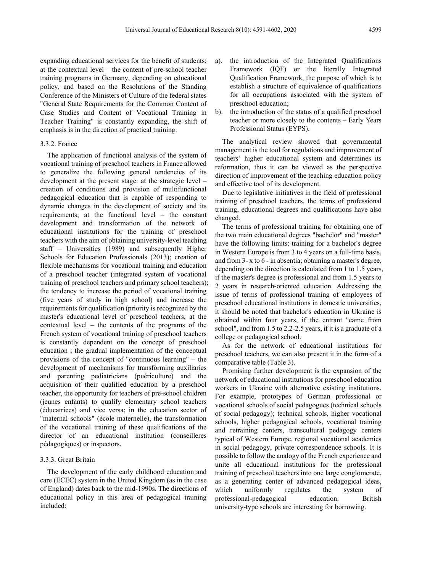expanding educational services for the benefit of students; at the contextual level – the content of pre-school teacher training programs in Germany, depending on educational policy, and based on the Resolutions of the Standing Conference of the Ministers of Culture of the federal states "General State Requirements for the Common Content of Case Studies and Content of Vocational Training in Teacher Training" is constantly expanding, the shift of emphasis is in the direction of practical training.

#### 3.3.2. France

The application of functional analysis of the system of vocational training of preschool teachers in France allowed to generalize the following general tendencies of its development at the present stage: at the strategic level – creation of conditions and provision of multifunctional pedagogical education that is capable of responding to dynamic changes in the development of society and its requirements; at the functional level – the constant development and transformation of the network of educational institutions for the training of preschool teachers with the aim of obtaining university-level teaching staff – Universities (1989) and subsequently Higher Schools for Education Professionals (2013); creation of flexible mechanisms for vocational training and education of a preschool teacher (integrated system of vocational training of preschool teachers and primary school teachers); the tendency to increase the period of vocational training (five years of study in high school) and increase the requirements for qualification (priority is recognized by the master's educational level of preschool teachers, at the contextual level – the contents of the programs of the French system of vocational training of preschool teachers is constantly dependent on the concept of preschool education ; the gradual implementation of the conceptual provisions of the concept of "continuous learning" – the development of mechanisms for transforming auxiliaries and parenting pediatricians (puériculture) and the acquisition of their qualified education by a preschool teacher, the opportunity for teachers of pre-school children (jeunes enfants) to qualify elementary school teachers (éducatrices) and vice versa; in the education sector of "maternal schools" (école maternelle), the transformation of the vocational training of these qualifications of the director of an educational institution (conseilleres pédagogiques) or inspectors.

#### 3.3.3. Great Britain

The development of the early childhood education and care (ECEC) system in the United Kingdom (as in the case of England) dates back to the mid-1990s. The directions of educational policy in this area of pedagogical training included:

- a). the introduction of the Integrated Qualifications Framework (IQF) or the literally Integrated Qualification Framework, the purpose of which is to establish a structure of equivalence of qualifications for all occupations associated with the system of preschool education;
- b). the introduction of the status of a qualified preschool teacher or more closely to the contents – Early Years Professional Status (EYPS).

The analytical review showed that governmental management is the tool for regulations and improvement of teachers' higher educational system and determines its reformation, thus it can be viewed as the perspective direction of improvement of the teaching education policy and effective tool of its development.

Due to legislative initiatives in the field of professional training of preschool teachers, the terms of professional training, educational degrees and qualifications have also changed.

The terms of professional training for obtaining one of the two main educational degrees "bachelor" and "master" have the following limits: training for a bachelor's degree in Western Europe is from 3 to 4 years on a full-time basis, and from 3- x to 6 - in absentia; obtaining a master's degree, depending on the direction is calculated from 1 to 1.5 years, if the master's degree is professional and from 1.5 years to 2 years in research-oriented education. Addressing the issue of terms of professional training of employees of preschool educational institutions in domestic universities, it should be noted that bachelor's education in Ukraine is obtained within four years, if the entrant "came from school", and from 1.5 to 2.2-2.5 years, if it is a graduate of a college or pedagogical school.

As for the network of educational institutions for preschool teachers, we can also present it in the form of a comparative table (Table 3).

Promising further development is the expansion of the network of educational institutions for preschool education workers in Ukraine with alternative existing institutions. For example, prototypes of German professional or vocational schools of social pedagogues (technical schools of social pedagogy); technical schools, higher vocational schools, higher pedagogical schools, vocational training and retraining centers, transcultural pedagogy centers typical of Western Europe, regional vocational academies in social pedagogy, private correspondence schools. It is possible to follow the analogy of the French experience and unite all educational institutions for the professional training of preschool teachers into one large conglomerate, as a generating center of advanced pedagogical ideas, which uniformly regulates the system of professional-pedagogical education. British university-type schools are interesting for borrowing.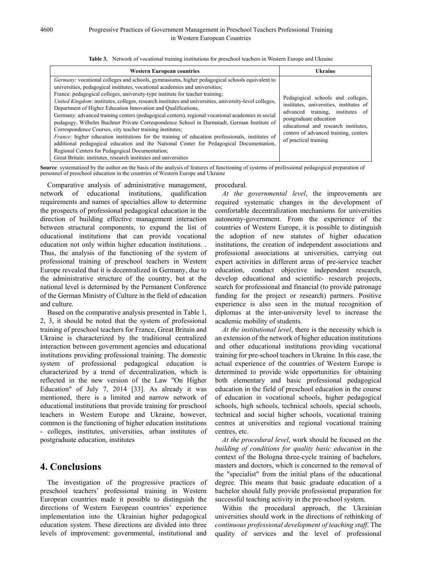| <b>Western European countries</b>                                                                                                                                                                                                                                                                                                                                                                                                                                                                                                                                                                                                                                                                                                                                                                                                                                                                                                                                                                                                      | <b>Ukraine</b>                                                                                                                                                                                                                                       |  |  |
|----------------------------------------------------------------------------------------------------------------------------------------------------------------------------------------------------------------------------------------------------------------------------------------------------------------------------------------------------------------------------------------------------------------------------------------------------------------------------------------------------------------------------------------------------------------------------------------------------------------------------------------------------------------------------------------------------------------------------------------------------------------------------------------------------------------------------------------------------------------------------------------------------------------------------------------------------------------------------------------------------------------------------------------|------------------------------------------------------------------------------------------------------------------------------------------------------------------------------------------------------------------------------------------------------|--|--|
| Germany: vocational colleges and schools, gymnasiums, higher pedagogical schools equivalent to<br>universities, pedagogical institutes, vocational academies and universities;<br>France: pedagogical colleges, university-type institute for teacher training;<br>United Kingdom: institutes, colleges, research institutes and universities, university-level colleges,<br>Department of Higher Education Innovation and Qualifications,<br>Germany: advanced training centers (pedagogical centers), regional vocational academies in social<br>pedagogy, Wilhelm Buchner Private Correspondence School in Darmstadt, German Institute of<br>Correspondence Courses, city teacher training institutes;<br><i>France</i> : higher education institutions for the training of education professionals, institutes of<br>additional pedagogical education and the National Center for Pedagogical Documentation,<br>Regional Centers for Pedagogical Documentation;<br>Great Britain: institutes, research institutes and universities | Pedagogical schools and colleges,<br>institutes, universities, institutes of<br>advanced training, institutes of<br>postgraduate education<br>educational and research institutes,<br>centers of advanced training, centers<br>of practical training |  |  |

**Table 3.** Network of vocational training institutions for preschool teachers in Western Europe and Ukraine

**Source**: systematized by the author on the basis of the analysis of features of functioning of systems of professional pedagogical preparation of personnel of preschool education in the countries of Western Europe and Ukraine

Comparative analysis of administrative management, network of educational institutions, qualification requirements and names of specialties allow to determine the prospects of professional pedagogical education in the direction of building effective management interaction between structural components, to expand the list of educational institutions that can provide vocational education not only within higher education institutions. . Thus, the analysis of the functioning of the system of professional training of preschool teachers in Western Europe revealed that it is decentralized in Germany, due to the administrative structure of the country, but at the national level is determined by the Permanent Conference of the German Ministry of Culture in the field of education and culture.

Based on the comparative analysis presented in Table 1, 2, 3, it should be noted that the system of professional training of preschool teachers for France, Great Britain and Ukraine is characterized by the traditional centralized interaction between government agencies and educational institutions providing professional training. The domestic system of professional pedagogical education is characterized by a trend of decentralization, which is reflected in the new version of the Law "On Higher Education" of July 7, 2014 [33]. As already it was mentioned, there is a limited and narrow network of educational institutions that provide training for preschool teachers in Western Europe and Ukraine, however, common is the functioning of higher education institutions - colleges, institutes, universities, urban institutes of postgraduate education, institutes

# **4. Conclusions**

The investigation of the progressive practices of preschool teachers' professional training in Western European countries made it possible to distinguish the directions of Western European countries' experience implementation into the Ukrainian higher pedagogical education system. These directions are divided into three levels of improvement: governmental, institutional and

procedural.

*At the governmental level*, the improvements are required systematic changes in the development of comfortable decentralization mechanisms for universities autonomy-government. From the experience of the countries of Western Europe, it is possible to distinguish the adoption of new statutes of higher education institutions, the creation of independent associations and professional associations at universities, carrying out expert activities in different areas of pre-service teacher education, conduct objective independent research, develop educational and scientific- research projects, search for professional and financial (to provide patronage funding for the project or research) partners. Positive experience is also seen in the mutual recognition of diplomas at the inter-university level to increase the academic mobility of students.

*At the institutional level*, there is the necessity which is an extension of the network of higher education institutions and other educational institutions providing vocational training for pre-school teachers in Ukraine. In this case, the actual experience of the countries of Western Europe is determined to provide wide opportunities for obtaining both elementary and basic professional pedagogical education in the field of preschool education in the course of education in vocational schools, higher pedagogical schools, high schools, technical schools, special schools, technical and social higher schools, vocational training centres at universities and regional vocational training centres, etc.

*At the procedural level*, work should be focused on the *building of conditions for quality basic education* in the context of the Bologna three-cycle training of bachelors, masters and doctors, which is concerned to the removal of the "specialist" from the initial plans of the educational degree. This means that basic graduate education of a bachelor should fully provide professional preparation for successful teaching activity in the pre-school system.

Within the procedural approach, the Ukrainian universities should work in the directions of rethinking of *continuous professional development of teaching staff*. The quality of services and the level of professional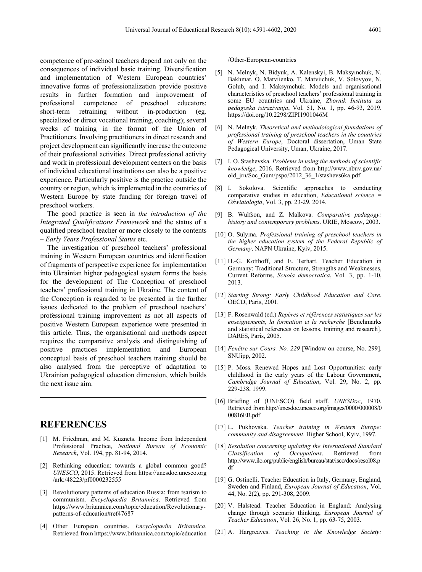competence of pre-school teachers depend not only on the consequences of individual basic training. Diversification and implementation of Western European countries' innovative forms of professionalization provide positive results in further formation and improvement of professional competence of preschool educators: short-term retraining without in-production (eg. specialized or direct vocational training, coaching); several weeks of training in the format of the Union of Practitioners. Involving practitioners in direct research and project development can significantly increase the outcome of their professional activities. Direct professional activity and work in professional development centers on the basis of individual educational institutions can also be a positive experience. Particularly positive is the practice outside the country or region, which is implemented in the countries of Western Europe by state funding for foreign travel of preschool workers.

The good practice is seen in *the introduction of the Integrated Qualifications Framework* and the status of a qualified preschool teacher or more closely to the contents – *Early Years Professional Status* etc.

The investigation of preschool teachers' professional training in Western European countries and identification of fragments of perspective experience for implementation into Ukrainian higher pedagogical system forms the basis for the development of The Conception of preschool teachers' professional training in Ukraine. The content of the Conception is regarded to be presented in the further issues dedicated to the problem of preschool teachers' professional training improvement as not all aspects of positive Western European experience were presented in this article. Thus, the organisational and methods aspect requires the comparative analysis and distinguishing of positive practices implementation and European conceptual basis of preschool teachers training should be also analysed from the perceptive of adaptation to Ukrainian pedagogical education dimension, which builds the next issue aim.

# **REFERENCES**

- [1] M. Friedman, and M. Kuznets. Income from Independent Professional Practice, *National Bureau of Economic Research*, Vol. 194, pp. 81-94, 2014.
- [2] Rethinking education: towards a global common good? *UNESCO*, 2015. Retrieved from https://unesdoc.unesco.org /ark:/48223/pf0000232555
- [3] Revolutionary patterns of education Russia: from tsarism to communism. *Encyclopædia Britannica*. Retrieved from https://www.britannica.com/topic/education/Revolutionarypatterns-of-education#ref47687
- [4] Other European countries. *Encyclopædia Britannica*. Retrieved from https://www.britannica.com/topic/education

/Other-European-countries

- [5] N. Melnyk, N. Bidyuk, A. Kalenskyi, B. Maksymchuk, N. Bakhmat, O. Matviienko, T. Matviichuk, V. Solovyov, N. Golub, and I. Maksymchuk. Models and organisational characteristics of preschool teachers' professional training in some EU countries and Ukraine, *Zbornik Instituta za pedagoska istrazivanja*, Vol. 51, No. 1, pp. 46-93, 2019. https://doi.org/10.2298/ZIPI1901046M
- [6] N. Melnyk. *Theoretical and methodological foundations of professional training of preschool teachers in the countries of Western Europe*, Doctoral dissertation, Uman State Pedagogical University, Uman, Ukraine, 2017.
- [7] I. O. Stashevska. *Problems in using the methods of scientific knowledge*, 2016. Retrieved from http://www.nbuv.gov.ua/ old\_jrn/Soc\_Gum/pspo/2012\_36\_1/stashevs6ka.pdf
- [8] I. Sokolova. Scientific approaches to conducting comparative studies in education, *Educational science = Oświatologia*, Vol. 3, pp. 23-29, 2014.
- [9] B. Wulfson, and Z. Malkova. *Comparative pedagogy: history and contemporary problems*. URIE, Moscow, 2003.
- [10] O. Sulyma. *Professional training of preschool teachers in the higher education system of the Federal Republic of Germany*. NAPN Ukraine, Kyiv, 2015.
- [11] H.-G. Kotthoff, and E. Terhart. Teacher Education in Germany: Traditional Structure, Strengths and Weaknesses, Current Reforms, *Scuola democratica*, Vol. 3, pp. 1-10, 2013.
- [12] *Starting Strong: Early Childhood Education and Care*. OECD, Paris, 2001.
- [13] F. Rosenwald (ed.) *Repères et références statistiques sur les enseignements, la formation et la recherche* [Benchmarks and statistical references on lessons, training and research]. DARES, Paris, 2005.
- [14] *Fenêtre sur Cours, No. 229* [Window on course, No. 299]. SNUipp, 2002.
- [15] P. Moss. Renewed Hopes and Lost Opportunities: early childhood in the early years of the Labour Government, *Cambridge Journal of Education*, Vol. 29, No. 2, pp. 229-238, 1999.
- [16] Briefing of (UNESCO) field staff. *UNESDoc*, 1970. Retrieved fromhttp://unesdoc.unesco.org/images/0000/000008/0 00816EB.pdf
- [17] L. Pukhovska. *Teacher training in Western Europe: community and disagreement*. Higher School, Kyiv, 1997.
- [18] *Resolution concerning updating the International Standard Classification of Occupations*. Retrieved from http://www.ilo.org/public/english/bureau/stat/isco/docs/resol08.p df
- [19] G. Ostinelli. Teacher Education in Italy, Germany, England, Sweden and Finland, *European Journal of Education*, Vol. 44, No. 2(2), pp. 291-308, 2009.
- [20] V. Halstead. Teacher Education in England: Analysing change through scenario thinking, *European Journal of Teacher Education*, Vol. 26, No. 1, pp. 63-75, 2003.
- [21] A. Hargreaves. *Teaching in the Knowledge Society:*